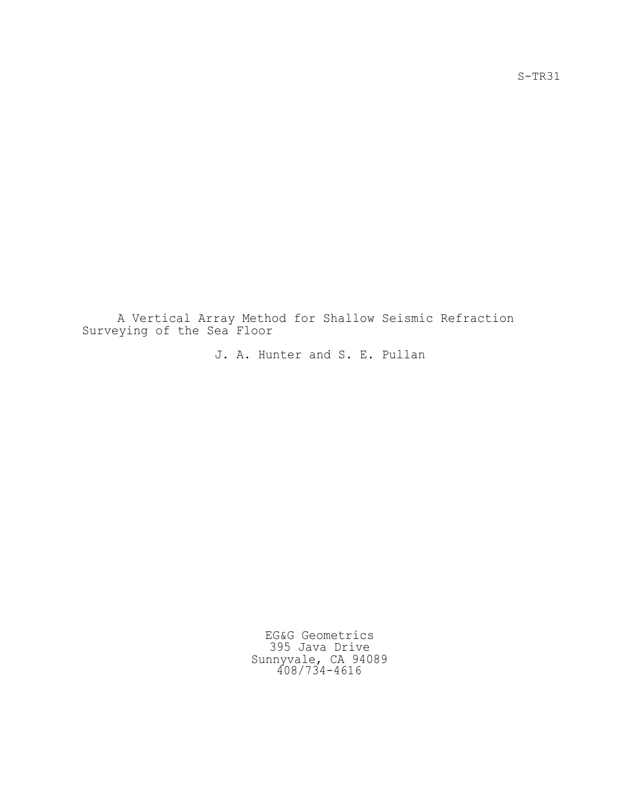A Vertical Array Method for Shallow Seismic Refraction Surveying of the Sea Floor

J. A. Hunter and S. E. Pullan

EG&G Geometrics 395 Java Drive Sunnyvale, CA 94089 408/734-4616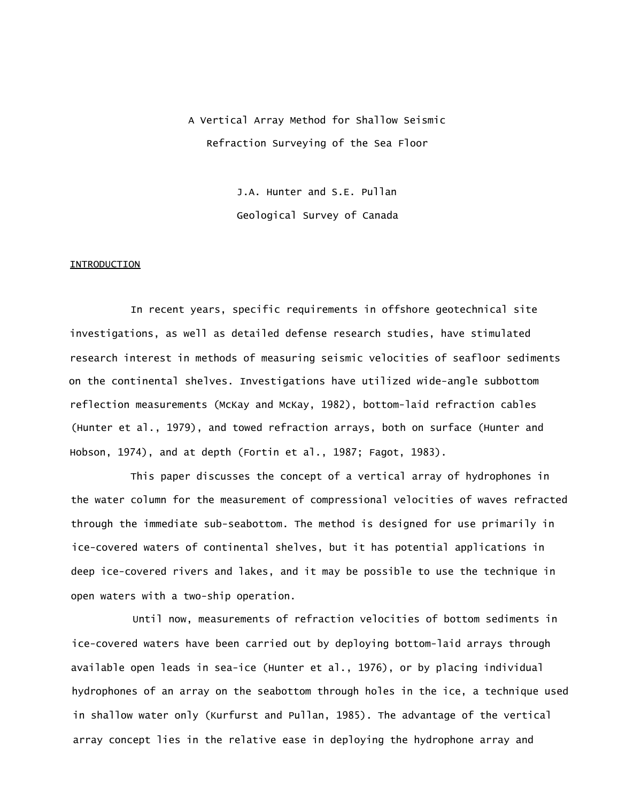A Vertical Array Method for Shallow Seismic Refraction Surveying of the Sea Floor

> J.A. Hunter and S.E. Pullan Geological Survey of Canada

#### **INTRODUCTION**

In recent years, specific requirements in offshore geotechnical site investigations, as well as detailed defense research studies, have stimulated research interest in methods of measuring seismic velocities of seafloor sediments on the continental shelves. Investigations have utilized wide-angle subbottom reflection measurements (McKay and McKay, 1982), bottom-laid refraction cables (Hunter et al., 1979), and towed refraction arrays, both on surface (Hunter and Hobson, 1974), and at depth (Fortin et al., 1987; Fagot, 1983).

This paper discusses the concept of a vertical array of hydrophones in the water column for the measurement of compressional velocities of waves refracted through the immediate sub-seabottom. The method is designed for use primarily in ice-covered waters of continental shelves, but it has potential applications in deep ice-covered rivers and lakes, and it may be possible to use the technique in open waters with a two-ship operation.

Until now, measurements of refraction velocities of bottom sediments in ice-covered waters have been carried out by deploying bottom-laid arrays through available open leads in sea-ice (Hunter et al., 1976), or by placing individual hydrophones of an array on the seabottom through holes in the ice, a technique used in shallow water only (Kurfurst and Pullan, 1985). The advantage of the vertical array concept lies in the relative ease in deploying the hydrophone array and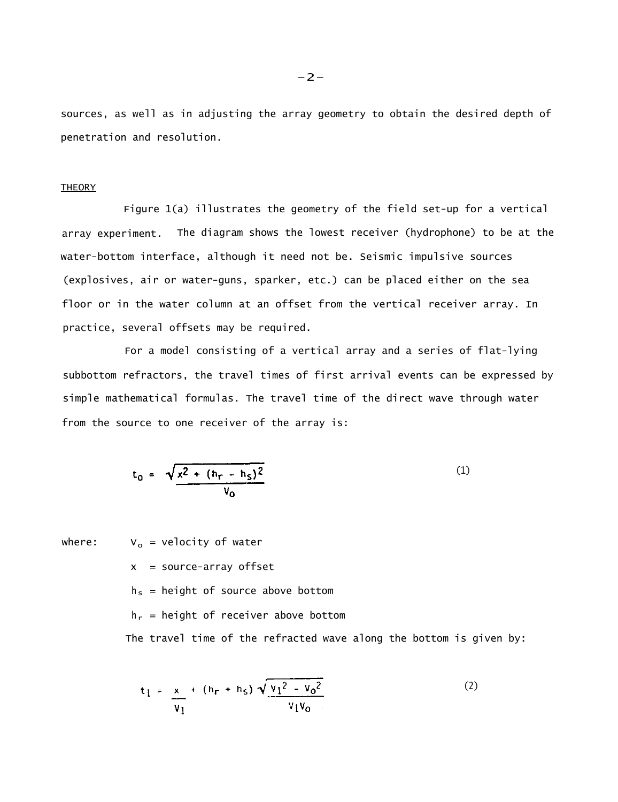sources, as well as in adjusting the array geometry to obtain the desired depth of penetration and resolution.

## **THEORY**

Figure 1(a) illustrates the geometry of the field set-up for a vertical array experiment. The diagram shows the lowest receiver (hydrophone) to be at the water-bottom interface, although it need not be. Seismic impulsive sources (explosives, air or water-guns, sparker, etc.) can be placed either on the sea floor or in the water column at an offset from the vertical receiver array. In practice, several offsets may be required.

For a model consisting of a vertical array and a series of flat-lying subbottom refractors, the travel times of first arrival events can be expressed by simple mathematical formulas. The travel time of the direct wave through water from the source to one receiver of the array is:

$$
t_0 = \sqrt{\frac{x^2 + (h_r - h_s)^2}{v_0}}
$$
 (1)

where:  $V_o$  = velocity of water

 $x = source-array$  of fset

 $h_s$  = height of source above bottom

 $h_r$  = height of receiver above bottom

The travel time of the refracted wave along the bottom is given by:

$$
t_1 = \frac{x}{v_1} + (h_r + h_S) \sqrt{\frac{v_1^2 - v_0^2}{v_1 v_0}}
$$
 (2)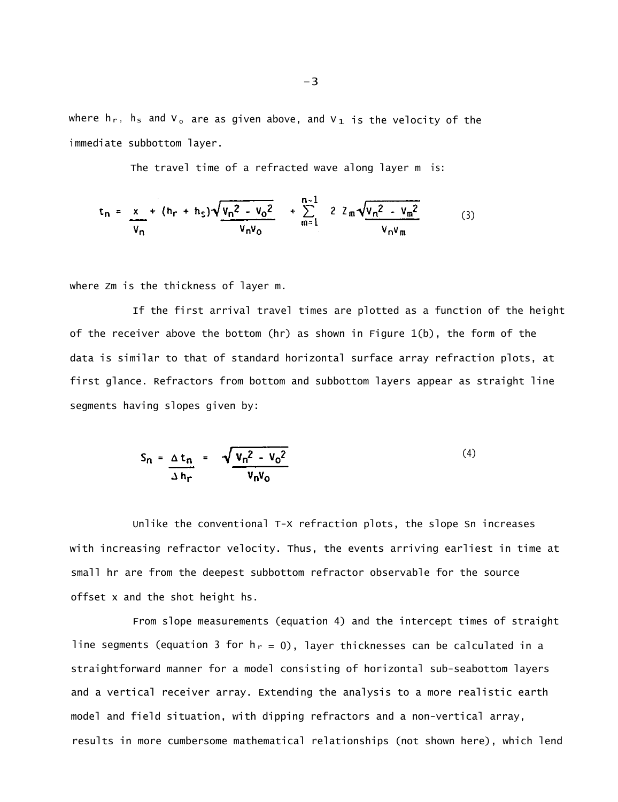where  $h_r$ ,  $h_s$  and  $V_o$  are as given above, and  $V_1$  is the velocity of the <sup>i</sup> mmediate subbottom layer.

The travel time of a refracted wave along layer m is:

$$
t_n = \frac{x}{v_n} + (h_r + h_s)\sqrt{\frac{v_n^2 - v_0^2}{v_n v_0}} + \sum_{m=1}^{n-1} 2 z_m \sqrt{\frac{v_n^2 - v_m^2}{v_n v_m}}
$$
(3)

where Zm is the thickness of layer m.

If the first arrival travel times are plotted as a function of the height of the receiver above the bottom (hr) as shown in Figure 1(b), the form of the data is similar to that of standard horizontal surface array refraction plots, at first glance. Refractors from bottom and subbottom layers appear as straight line segments having slopes given by:

$$
S_n = \frac{\Delta t_n}{\Delta h_r} = \frac{\sqrt{v_n^2 - v_0^2}}{v_n v_0}
$$
 (4)

Unlike the conventional T-X refraction plots, the slope Sn increases with increasing refractor velocity. Thus, the events arriving earliest in time at small hr are from the deepest subbottom refractor observable for the source offset x and the shot height hs.

From slope measurements (equation 4) and the intercept times of straight line segments (equation 3 for  $h_r = 0$ ), layer thicknesses can be calculated in a straightforward manner for a model consisting of horizontal sub-seabottom layers and a vertical receiver array. Extending the analysis to a more realistic earth model and field situation, with dipping refractors and a non-vertical array, results in more cumbersome mathematical relationships (not shown here), which lend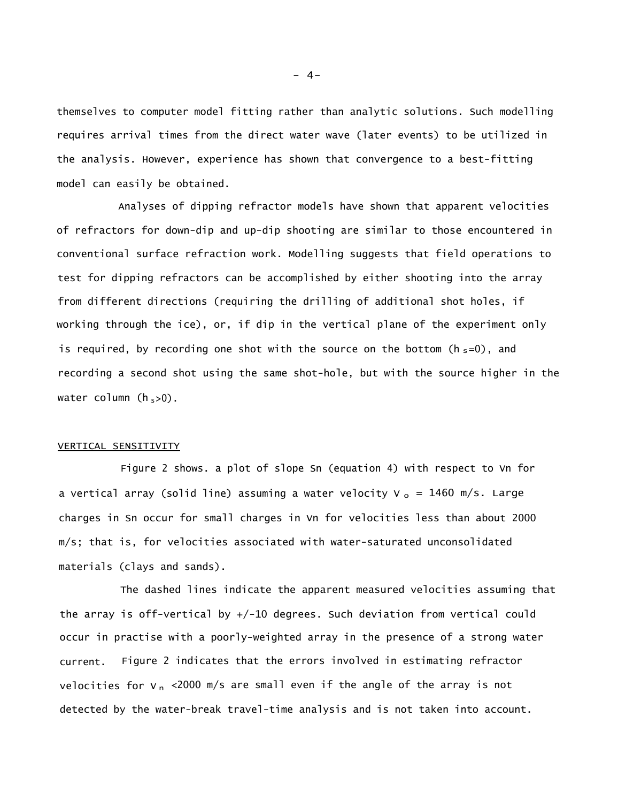themselves to computer model fitting rather than analytic solutions. Such modelling requires arrival times from the direct water wave (later events) to be utilized in the analysis. However, experience has shown that convergence to a best-fitting model can easily be obtained.

Analyses of dipping refractor models have shown that apparent velocities of refractors for down-dip and up-dip shooting are similar to those encountered in conventional surface refraction work. Modelling suggests that field operations to test for dipping refractors can be accomplished by either shooting into the array from different directions (requiring the drilling of additional shot holes, if working through the ice), or, if dip in the vertical plane of the experiment only is required, by recording one shot with the source on the bottom ( $h_s=0$ ), and recording a second shot using the same shot-hole, but with the source higher in the water column  $(h_{s>0})$ .

# VERTICAL SENSITIVITY

Figure 2 shows. a plot of slope Sn (equation 4) with respect to Vn for a vertical array (solid line) assuming a water velocity  $V_o = 1460$  m/s. Large charges in Sn occur for small charges in Vn for velocities less than about 2000 m/s; that is, for velocities associated with water-saturated unconsolidated materials (clays and sands).

The dashed lines indicate the apparent measured velocities assuming that the array is off-vertical by +/-10 degrees. Such deviation from vertical could occur in practise with a poorly-weighted array in the presence of a strong water current. Figure 2 indicates that the errors involved in estimating refractor velocities for  $v_n$  <2000 m/s are small even if the angle of the array is not detected by the water-break travel-time analysis and is not taken into account.

 $- 4-$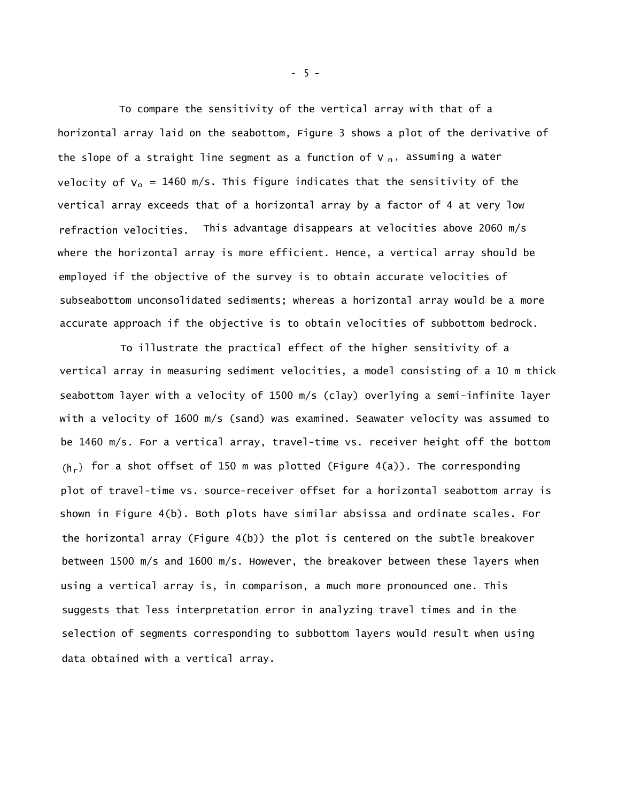To compare the sensitivity of the vertical array with that of a horizontal array laid on the seabottom, Figure 3 shows a plot of the derivative of the slope of a straight line segment as a function of  $V_{n}$ , assuming a water velocity of  $V_0 = 1460$  m/s. This figure indicates that the sensitivity of the vertical array exceeds that of a horizontal array by a factor of 4 at very low refraction velocities. This advantage disappears at velocities above 2060 m/s where the horizontal array is more efficient. Hence, a vertical array should be employed if the objective of the survey is to obtain accurate velocities of subseabottom unconsolidated sediments; whereas a horizontal array would be a more accurate approach if the objective is to obtain velocities of subbottom bedrock.

To illustrate the practical effect of the higher sensitivity of a vertical array in measuring sediment velocities, a model consisting of a 10 m thick seabottom layer with a velocity of 1500 m/s (clay) overlying a semi-infinite layer with a velocity of 1600 m/s (sand) was examined. Seawater velocity was assumed to be 1460 m/s. For a vertical array, travel-time vs. receiver height off the bottom  $(h_r)$  for a shot offset of 150 m was plotted (Figure 4(a)). The corresponding plot of travel-time vs. source-receiver offset for a horizontal seabottom array is shown in Figure 4(b). Both plots have similar absissa and ordinate scales. For the horizontal array (Figure 4(b)) the plot is centered on the subtle breakover between 1500 m/s and 1600 m/s. However, the breakover between these layers when using a vertical array is, in comparison, a much more pronounced one. This suggests that less interpretation error in analyzing travel times and in the selection of segments corresponding to subbottom layers would result when using data obtained with a vertical array.

- 5 -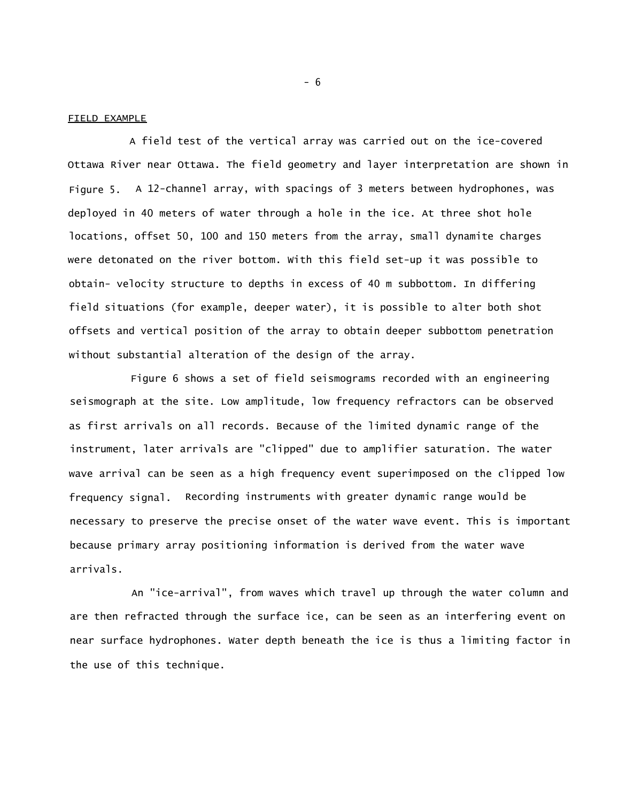### FIELD EXAMPLE

A field test of the vertical array was carried out on the ice-covered Ottawa River near Ottawa. The field geometry and layer interpretation are shown in Figure 5. A 12-channel array, with spacings of 3 meters between hydrophones, was deployed in 40 meters of water through a hole in the ice. At three shot hole locations, offset 50, 100 and 150 meters from the array, small dynamite charges were detonated on the river bottom. With this field set-up it was possible to obtain- velocity structure to depths in excess of 40 m subbottom. In differing field situations (for example, deeper water), it is possible to alter both shot offsets and vertical position of the array to obtain deeper subbottom penetration without substantial alteration of the design of the array.

Figure 6 shows a set of field seismograms recorded with an engineering seismograph at the site. Low amplitude, low frequency refractors can be observed as first arrivals on all records. Because of the limited dynamic range of the instrument, later arrivals are "clipped" due to amplifier saturation. The water wave arrival can be seen as a high frequency event superimposed on the clipped low frequency signal. Recording instruments with greater dynamic range would be necessary to preserve the precise onset of the water wave event. This is important because primary array positioning information is derived from the water wave arrivals.

An "ice-arrival", from waves which travel up through the water column and are then refracted through the surface ice, can be seen as an interfering event on near surface hydrophones. Water depth beneath the ice is thus a limiting factor in the use of this technique.

- 6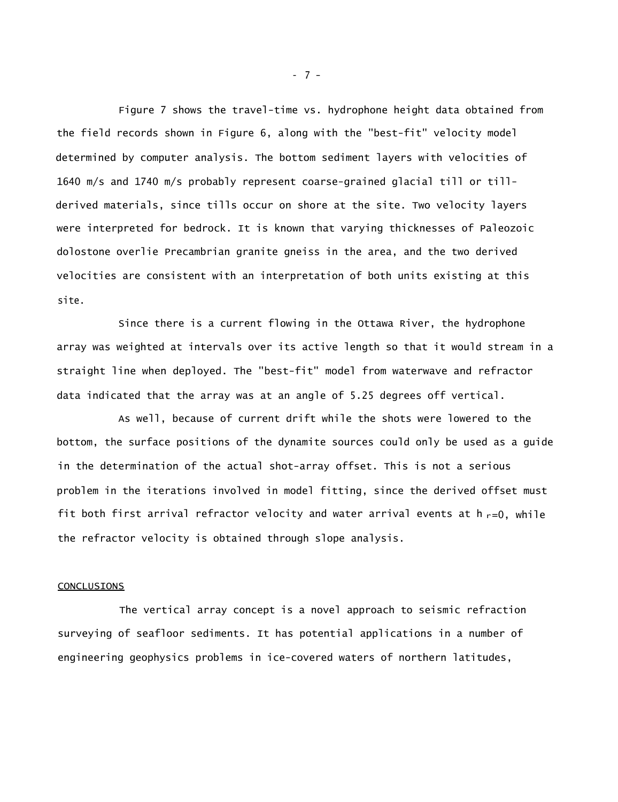Figure 7 shows the travel-time vs. hydrophone height data obtained from the field records shown in Figure 6, along with the "best-fit" velocity model determined by computer analysis. The bottom sediment layers with velocities of 1640 m/s and 1740 m/s probably represent coarse-grained glacial till or tillderived materials, since tills occur on shore at the site. Two velocity layers were interpreted for bedrock. It is known that varying thicknesses of Paleozoic dolostone overlie Precambrian granite gneiss in the area, and the two derived velocities are consistent with an interpretation of both units existing at this site.

Since there is a current flowing in the Ottawa River, the hydrophone array was weighted at intervals over its active length so that it would stream in a straight line when deployed. The "best-fit" model from waterwave and refractor data indicated that the array was at an angle of 5.25 degrees off vertical.

As well, because of current drift while the shots were lowered to the bottom, the surface positions of the dynamite sources could only be used as a guide in the determination of the actual shot-array offset. This is not a serious problem in the iterations involved in model fitting, since the derived offset must fit both first arrival refractor velocity and water arrival events at  $h_{r}=0$ , while the refractor velocity is obtained through slope analysis.

# **CONCLUSIONS**

The vertical array concept is a novel approach to seismic refraction surveying of seafloor sediments. It has potential applications in a number of engineering geophysics problems in ice-covered waters of northern latitudes,

- 7 -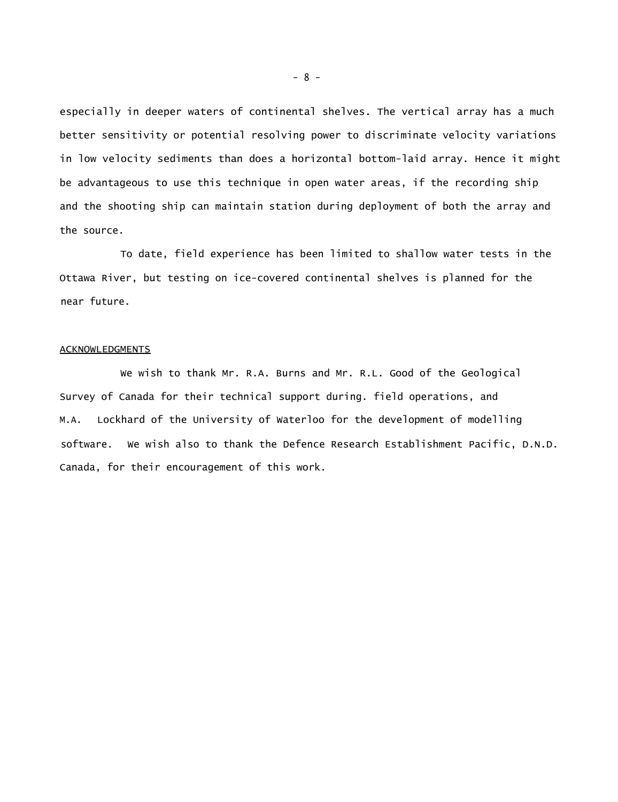especially in deeper waters of continental shelves. The vertical array has a much better sensitivity or potential resolving power to discriminate velocity variations in low velocity sediments than does a horizontal bottom-laid array. Hence it might be advantageous to use this technique in open water areas, if the recording ship and the shooting ship can maintain station during deployment of both the array and the source.

To date, field experience has been limited to shallow water tests in the Ottawa River, but testing on ice-covered continental shelves is planned for the near future.

## **ACKNOWLEDGMENTS**

We wish to thank Mr. R.A. Burns and Mr. R.L. Good of the Geological Survey of Canada for their technical support during. field operations, and M.A. Lockhard of the University of Waterloo for the development of modelling software. We wish also to thank the Defence Research Establishment Pacific, D.N.D. Canada, for their encouragement of this work.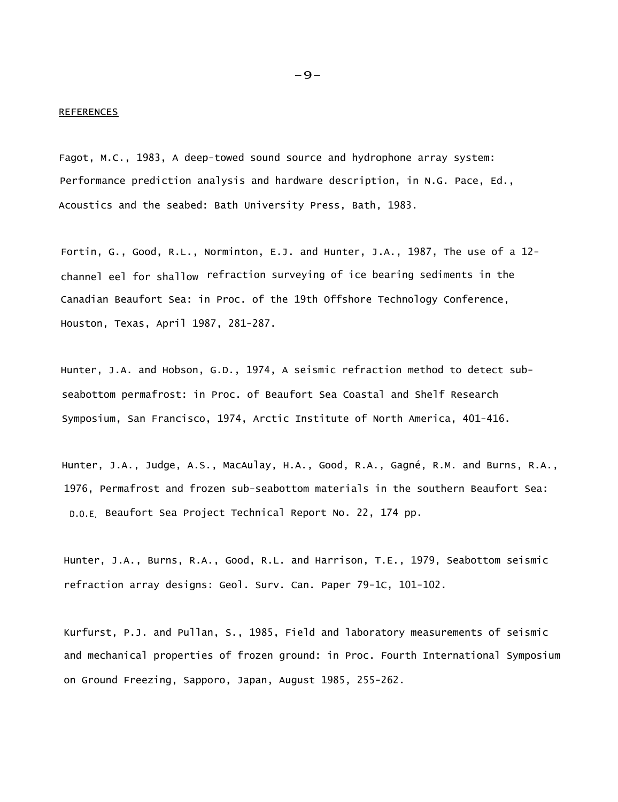#### **REFERENCES**

Fagot, M.C., 1983, A deep-towed sound source and hydrophone array system: Performance prediction analysis and hardware description, in N.G. Pace, Ed., Acoustics and the seabed: Bath University Press, Bath, 1983.

Fortin, G., Good, R.L., Norminton, E.J. and Hunter, J.A., 1987, The use of a 12 channel eel for shallow refraction surveying of ice bearing sediments in the Canadian Beaufort Sea: in Proc. of the 19th Offshore Technology Conference, Houston, Texas, April 1987, 281-287.

Hunter, J.A. and Hobson, G.D., 1974, A seismic refraction method to detect subseabottom permafrost: in Proc. of Beaufort Sea Coastal and Shelf Research Symposium, San Francisco, 1974, Arctic Institute of North America, 401-416.

Hunter, J.A., Judge, A.S., MacAulay, H.A., Good, R.A., Gagné, R.M. and Burns, R.A., 1976, Permafrost and frozen sub-seabottom materials in the southern Beaufort Sea: D.O.E. Beaufort Sea Project Technical Report No. 22, 174 pp.

Hunter, J.A., Burns, R.A., Good, R.L. and Harrison, T.E., 1979, Seabottom seismic refraction array designs: Geol. Surv. Can. Paper 79-1C, 101-102.

Kurfurst, P.J. and Pullan, S., 1985, Field and laboratory measurements of seismic and mechanical properties of frozen ground: in Proc. Fourth International Symposium on Ground Freezing, Sapporo, Japan, August 1985, 255-262.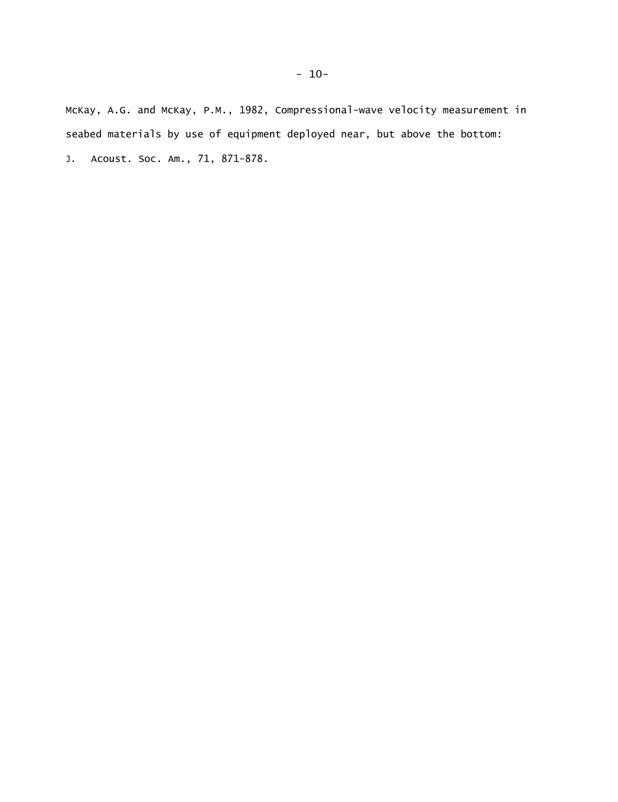McKay, A.G. and McKay, P.M., 1982, Compressional-wave velocity measurement in seabed materials by use of equipment deployed near, but above the bottom: J. Acoust. Soc. Am., 71, 871-878.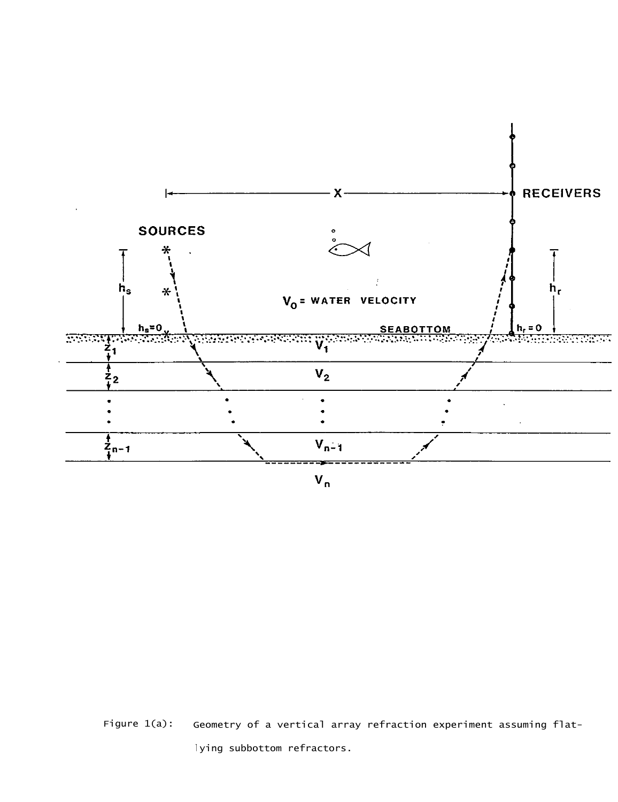

Figure 1(a): Geometry of a vertical array refraction experiment assuming flatlying subbottom refractors.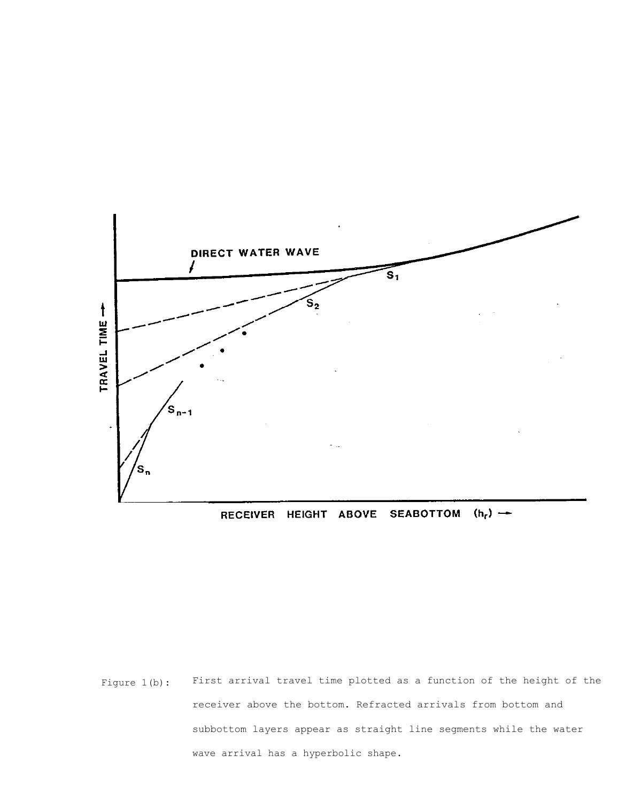

SEABOTTOM  $(h_r)$   $\rightarrow$ RECEIVER HEIGHT ABOVE

Figure 1(b): First arrival travel time plotted as a function of the height of the receiver above the bottom. Refracted arrivals from bottom and subbottom layers appear as straight line segments while the water wave arrival has a hyperbolic shape.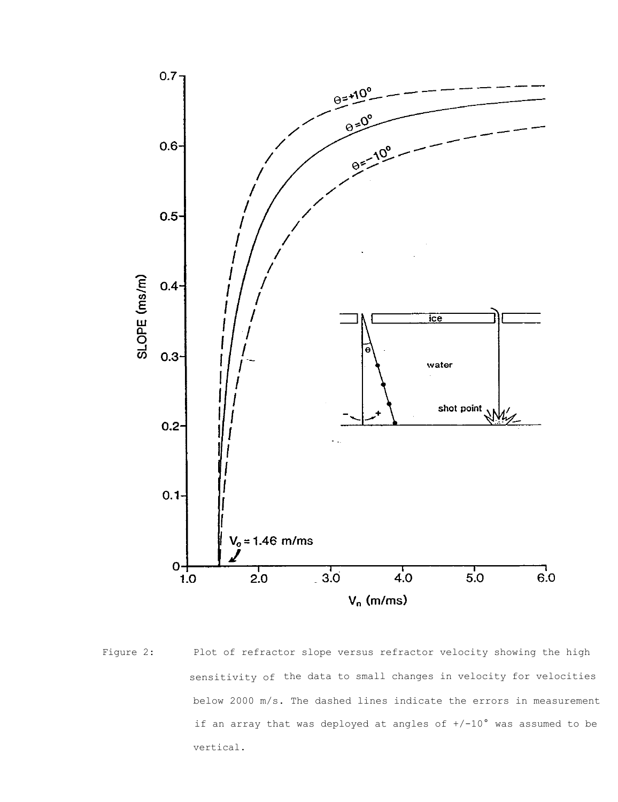

Figure 2: Plot of refractor slope versus refractor velocity showing the high sensitivity of the data to small changes in velocity for velocities below 2000 m/s. The dashed lines indicate the errors in measurement if an array that was deployed at angles of +/-10° was assumed to be vertical.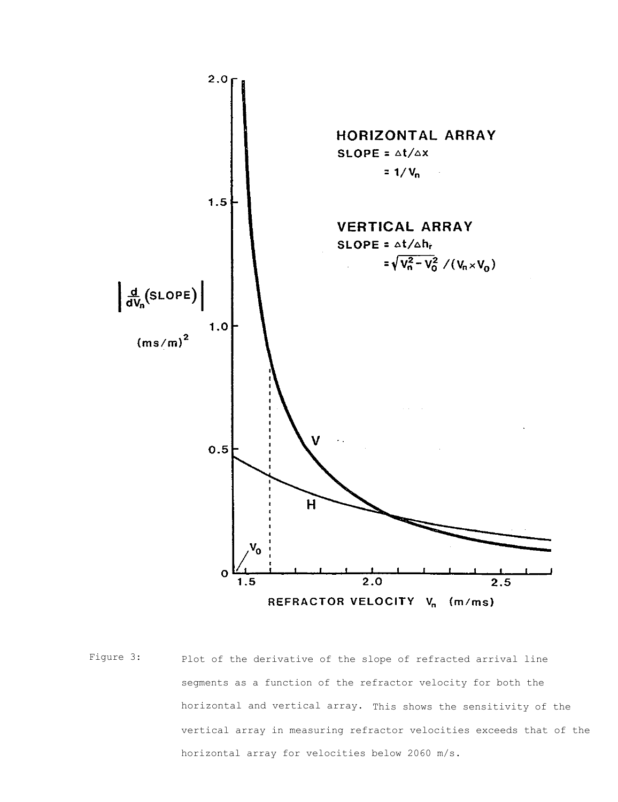

Figure 3: Plot of the derivative of the slope of refracted arrival line segments as a function of the refractor velocity for both the horizontal and vertical array. This shows the sensitivity of the vertical array in measuring refractor velocities exceeds that of the horizontal array for velocities below 2060 m/s.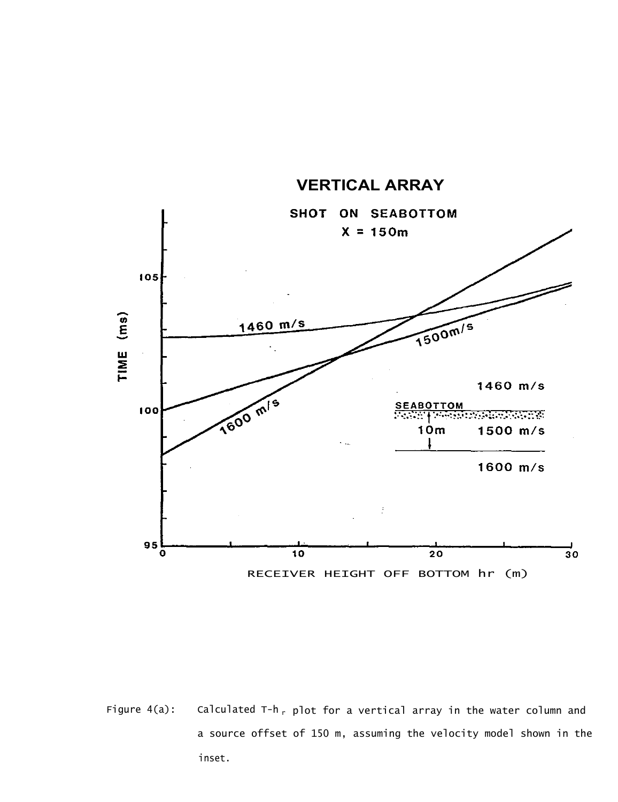

Figure 4(a): Calculated T-h<sub>r</sub> plot for a vertical array in the water column and a source offset of 150 m, assuming the velocity model shown in the inset.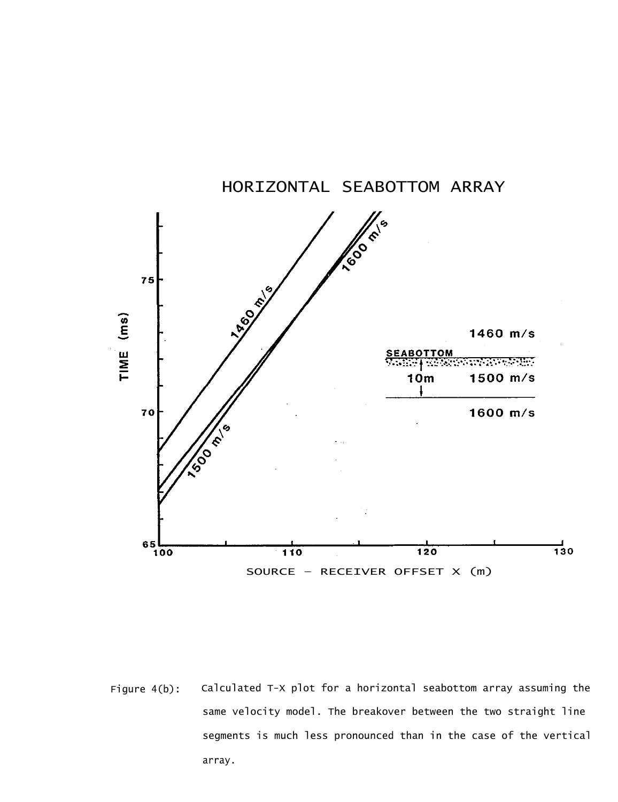

Figure 4(b): Calculated T-X plot for a horizontal seabottom array assuming the same velocity model. The breakover between the two straight line segments is much less pronounced than in the case of the vertical array.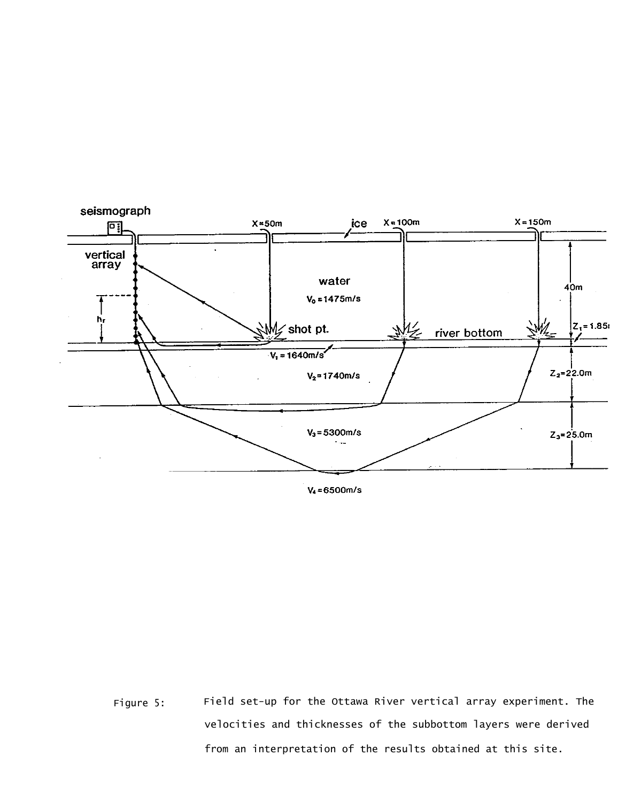

 $V_4 = 6500 m/s$ 

Figure 5: Field set-up for the Ottawa River vertical array experiment. The velocities and thicknesses of the subbottom layers were derived from an interpretation of the results obtained at this site.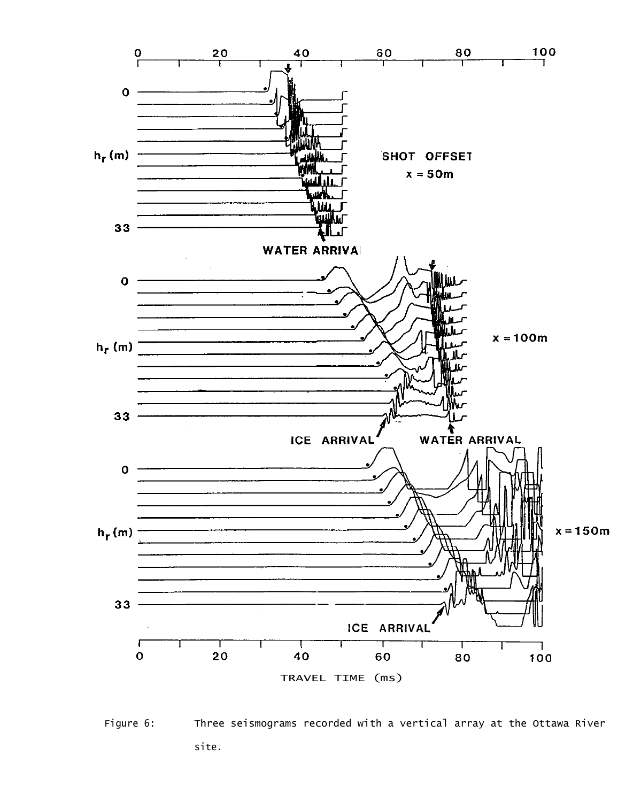

Figure 6: Three seismograms recorded with a vertical array at the Ottawa River site.